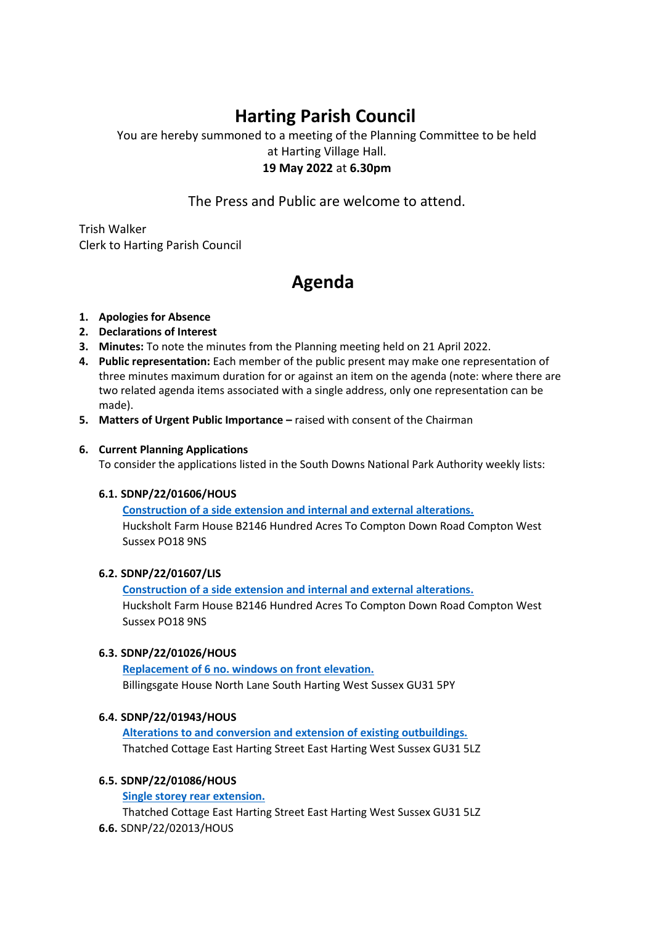# **Harting Parish Council**

You are hereby summoned to a meeting of the Planning Committee to be held at Harting Village Hall. **19 May 2022** at **6.30pm**

The Press and Public are welcome to attend.

Trish Walker Clerk to Harting Parish Council

## **Agenda**

## **1. Apologies for Absence**

- **2. Declarations of Interest**
- **3. Minutes:** To note the minutes from the Planning meeting held on 21 April 2022.
- **4. Public representation:** Each member of the public present may make one representation of three minutes maximum duration for or against an item on the agenda (note: where there are two related agenda items associated with a single address, only one representation can be made).
- **5. Matters of Urgent Public Importance –** raised with consent of the Chairman

## **6. Current Planning Applications**

To consider the applications listed in the South Downs National Park Authority weekly lists:

## **6.1. SDNP/22/01606/HOUS**

**[Construction of a side extension and internal and external alterations.](https://planningpublicaccess.southdowns.gov.uk/online-applications/applicationDetails.do?activeTab=summary&keyVal=R9HXF2TUJNP00&prevPage=inTray)** Hucksholt Farm House B2146 Hundred Acres To Compton Down Road Compton West Sussex PO18 9NS

## **6.2. SDNP/22/01607/LIS**

**[Construction of a side extension and internal and external alterations.](https://planningpublicaccess.southdowns.gov.uk/online-applications/applicationDetails.do?activeTab=summary&keyVal=R9HXF9TUJNQ00&prevPage=inTray)** Hucksholt Farm House B2146 Hundred Acres To Compton Down Road Compton West Sussex PO18 9NS

## **6.3. SDNP/22/01026/HOUS**

**[Replacement of 6 no. windows on front elevation.](https://planningpublicaccess.southdowns.gov.uk/online-applications/applicationDetails.do?activeTab=summary&keyVal=R7TEDMTUIQ600&prevPage=inTray)** Billingsgate House North Lane South Harting West Sussex GU31 5PY

## **6.4. SDNP/22/01943/HOUS**

**[Alterations to and conversion and extension of existing outbuildings.](https://planningpublicaccess.southdowns.gov.uk/online-applications/applicationDetails.do?activeTab=summary&keyVal=RAL7E1TUK6T00&prevPage=inTray)** Thatched Cottage East Harting Street East Harting West Sussex GU31 5LZ

## **6.5. SDNP/22/01086/HOUS**

**[Single storey rear extension.](https://planningpublicaccess.southdowns.gov.uk/online-applications/applicationDetails.do?activeTab=summary&keyVal=R82DXDTUIU700&prevPage=inTray)**

Thatched Cottage East Harting Street East Harting West Sussex GU31 5LZ **6.6.** SDNP/22/02013/HOUS